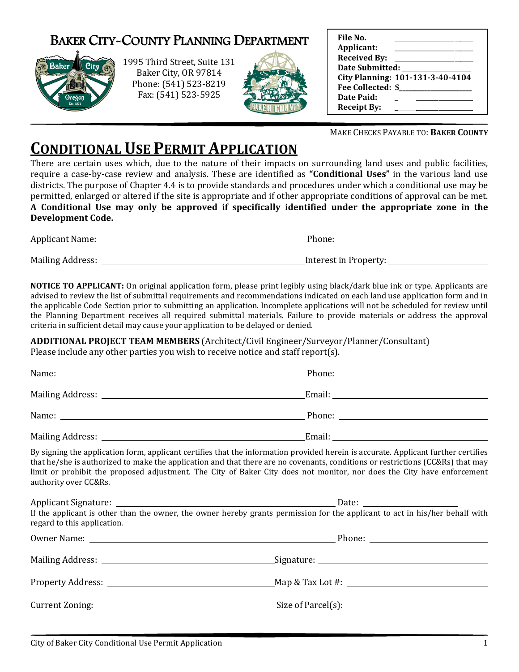# BAKER CITY-COUNTY PLANNING DEPARTMENT



1995 Third Street Street, Suite 131 Baker City, OR 97814 Phone: (541) 523 (541) 523-8219 Fax: (541) 523 523-5925



| File No.            |                                  |
|---------------------|----------------------------------|
| Applicant:          |                                  |
| <b>Received By:</b> |                                  |
| Date Submitted:     |                                  |
|                     | City Planning: 101-131-3-40-4104 |
| Fee Collected: \$   |                                  |
| Date Paid:          |                                  |
| <b>Receipt By:</b>  |                                  |

MAKE CHECKS PAYABLE TO: BAKER COUNTY

# **CONDITIONAL USE PERMIT APPLICATION**

There are certain uses which, due to the nature of their impacts on surrounding land uses and public facilities, require a case-by-case review and analysis. These are identified as "**Conditional Uses**" in the various land use districts. The purpose of Chapter 4.4 is to provide standards and procedures under which a conditional use may be permitted, enlarged or altered if the site is appropriate and if other appropriate conditions of approval can be met. A Conditional Use may only be approved if specifically identified under the appropriate zone in the Development Code. ther appropriate conditions of approval can be met.<br> **identified under the appropriate zone in the**<br>
Phone:

| <b>Applicant Name:</b>  | Phone:                |
|-------------------------|-----------------------|
|                         |                       |
| <b>Mailing Address:</b> | Interest in Property: |

NOTICE TO APPLICANT: On original application form, please print legibly using black/dark blue ink or type. Applicants are advised to review the list of submittal requirements and recommendations indicated on each land use application form and in the applicable Code Section prior to submitting an application. Incomplete applications will not be scheduled for review until the applicable Code Section prior to submitting an application. Incomplete applications will not be scheduled for review until<br>the Planning Department receives all required submittal materials. Failure to provide materials criteria in sufficient detail may cause your application to be delayed or denied. n **NOTICE TO APPLICANT:** On original application form, please print legibly using black/dark blue ink or type. Applicants are dvised to review the list of submittal requirements and recommendations indicated on each land use

ADDITIONAL PROJECT TEAM MEMBERS (Architect/Civil Engineer/Surveyor/Planner/Consultant)

| Please include any other parties you wish to receive notice and staff report(s). |                      |  |  |
|----------------------------------------------------------------------------------|----------------------|--|--|
|                                                                                  |                      |  |  |
|                                                                                  |                      |  |  |
|                                                                                  |                      |  |  |
|                                                                                  | Email: <u>Email:</u> |  |  |

By signing the application form, applicant certifies that the information provided herein is accurate. Applicant further certifies that he/she is authorized to make the application and that there are no covenants, conditions or restrictions (CC&Rs) that ma limit or prohibit the proposed adjustment. The City of Baker City does not monitor, nor does the City have enforcement authority over CC&Rs. igning the application form, applicant certifies that the information provided herein is accurate. Applicar<br>he/she is authorized to make the application and that there are no covenants, conditions or restrictions<br>or prohib may

| If the applicant is other than the owner, the owner hereby grants permission for the applicant to act in his/her behalf with<br>regard to this application. | Date: $\frac{1}{\sqrt{1-\frac{1}{2}} \cdot \frac{1}{2}}$ |
|-------------------------------------------------------------------------------------------------------------------------------------------------------------|----------------------------------------------------------|
|                                                                                                                                                             |                                                          |
|                                                                                                                                                             |                                                          |
|                                                                                                                                                             |                                                          |
|                                                                                                                                                             |                                                          |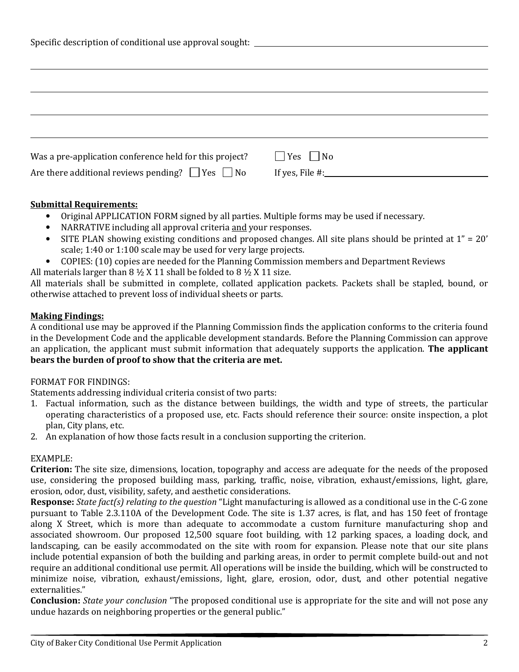| Specific description of conditional use approval sought: ________________________ |                      |  |  |  |  |
|-----------------------------------------------------------------------------------|----------------------|--|--|--|--|
|                                                                                   |                      |  |  |  |  |
|                                                                                   |                      |  |  |  |  |
|                                                                                   |                      |  |  |  |  |
|                                                                                   |                      |  |  |  |  |
|                                                                                   |                      |  |  |  |  |
|                                                                                   |                      |  |  |  |  |
| Was a pre-application conference held for this project?                           | $\Box$ Yes $\Box$ No |  |  |  |  |
| Are there additional reviews pending? $\Box$ Yes $\Box$ No                        | If yes, File $\#$ :  |  |  |  |  |

#### Submittal Requirements:

- Original APPLICATION FORM signed by all parties. Multiple forms may be used if necessary.
- NARRATIVE including all approval criteria and your responses.
- SITE PLAN showing existing conditions and proposed changes. All site plans should be printed at 1" = 20' scale; 1:40 or 1:100 scale may be used for very large projects.
- COPIES: (10) copies are needed for the Planning Commission members and Department Reviews
- All materials larger than  $8 \frac{1}{2}$  X 11 shall be folded to  $8 \frac{1}{2}$  X 11 size.

All materials shall be submitted in complete, collated application packets. Packets shall be stapled, bound, or otherwise attached to prevent loss of individual sheets or parts.

#### Making Findings:

A conditional use may be approved if the Planning Commission finds the application conforms to the criteria found in the Development Code and the applicable development standards. Before the Planning Commission can approve an application, the applicant must submit information that adequately supports the application. The applicant bears the burden of proof to show that the criteria are met.

### FORMAT FOR FINDINGS:

Statements addressing individual criteria consist of two parts:

- 1. Factual information, such as the distance between buildings, the width and type of streets, the particular operating characteristics of a proposed use, etc. Facts should reference their source: onsite inspection, a plot plan, City plans, etc.
- 2. An explanation of how those facts result in a conclusion supporting the criterion.

#### EXAMPLE:

Criterion: The site size, dimensions, location, topography and access are adequate for the needs of the proposed use, considering the proposed building mass, parking, traffic, noise, vibration, exhaust/emissions, light, glare, erosion, odor, dust, visibility, safety, and aesthetic considerations.

Response: State fact(s) relating to the question "Light manufacturing is allowed as a conditional use in the C-G zone pursuant to Table 2.3.110A of the Development Code. The site is 1.37 acres, is flat, and has 150 feet of frontage along X Street, which is more than adequate to accommodate a custom furniture manufacturing shop and associated showroom. Our proposed 12,500 square foot building, with 12 parking spaces, a loading dock, and landscaping, can be easily accommodated on the site with room for expansion. Please note that our site plans include potential expansion of both the building and parking areas, in order to permit complete build-out and not require an additional conditional use permit. All operations will be inside the building, which will be constructed to minimize noise, vibration, exhaust/emissions, light, glare, erosion, odor, dust, and other potential negative externalities."

**Conclusion:** *State your conclusion* "The proposed conditional use is appropriate for the site and will not pose any undue hazards on neighboring properties or the general public."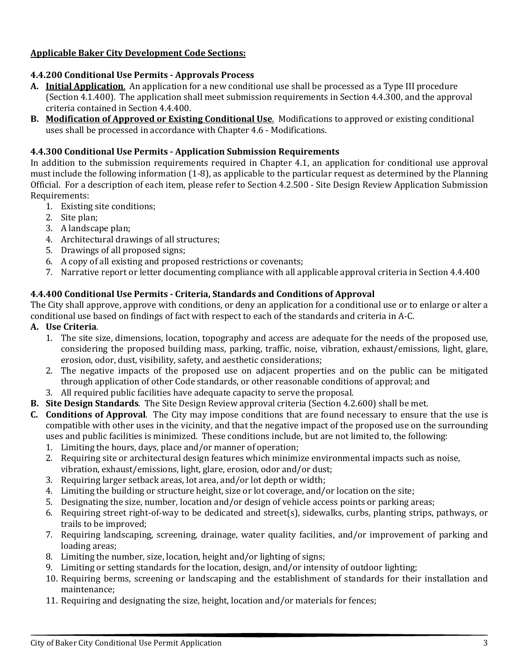## Applicable Baker City Development Code Sections:

## 4.4.200 Conditional Use Permits - Approvals Process

- A. Initial Application. An application for a new conditional use shall be processed as a Type III procedure (Section 4.1.400). The application shall meet submission requirements in Section 4.4.300, and the approval criteria contained in Section 4.4.400.
- B. Modification of Approved or Existing Conditional Use. Modifications to approved or existing conditional uses shall be processed in accordance with Chapter 4.6 - Modifications.

## 4.4.300 Conditional Use Permits - Application Submission Requirements

In addition to the submission requirements required in Chapter 4.1, an application for conditional use approval must include the following information (1-8), as applicable to the particular request as determined by the Planning Official. For a description of each item, please refer to Section 4.2.500 - Site Design Review Application Submission Requirements:

- 1. Existing site conditions;
- 2. Site plan;
- 3. A landscape plan;
- 4. Architectural drawings of all structures;
- 5. Drawings of all proposed signs;
- 6. A copy of all existing and proposed restrictions or covenants;
- 7. Narrative report or letter documenting compliance with all applicable approval criteria in Section 4.4.400

# 4.4.400 Conditional Use Permits - Criteria, Standards and Conditions of Approval

The City shall approve, approve with conditions, or deny an application for a conditional use or to enlarge or alter a conditional use based on findings of fact with respect to each of the standards and criteria in A-C.

- A. Use Criteria.
	- 1. The site size, dimensions, location, topography and access are adequate for the needs of the proposed use, considering the proposed building mass, parking, traffic, noise, vibration, exhaust/emissions, light, glare, erosion, odor, dust, visibility, safety, and aesthetic considerations;
	- 2. The negative impacts of the proposed use on adjacent properties and on the public can be mitigated through application of other Code standards, or other reasonable conditions of approval; and
	- 3. All required public facilities have adequate capacity to serve the proposal.
- B. Site Design Standards. The Site Design Review approval criteria (Section 4.2.600) shall be met.
- C. Conditions of Approval. The City may impose conditions that are found necessary to ensure that the use is compatible with other uses in the vicinity, and that the negative impact of the proposed use on the surrounding uses and public facilities is minimized. These conditions include, but are not limited to, the following:
	- 1. Limiting the hours, days, place and/or manner of operation;
	- 2. Requiring site or architectural design features which minimize environmental impacts such as noise, vibration, exhaust/emissions, light, glare, erosion, odor and/or dust;
	- 3. Requiring larger setback areas, lot area, and/or lot depth or width;
	- 4. Limiting the building or structure height, size or lot coverage, and/or location on the site;
	- 5. Designating the size, number, location and/or design of vehicle access points or parking areas;
	- 6. Requiring street right-of-way to be dedicated and street(s), sidewalks, curbs, planting strips, pathways, or trails to be improved;
	- 7. Requiring landscaping, screening, drainage, water quality facilities, and/or improvement of parking and loading areas;
	- 8. Limiting the number, size, location, height and/or lighting of signs;
	- 9. Limiting or setting standards for the location, design, and/or intensity of outdoor lighting;
	- 10. Requiring berms, screening or landscaping and the establishment of standards for their installation and maintenance;
	- 11. Requiring and designating the size, height, location and/or materials for fences;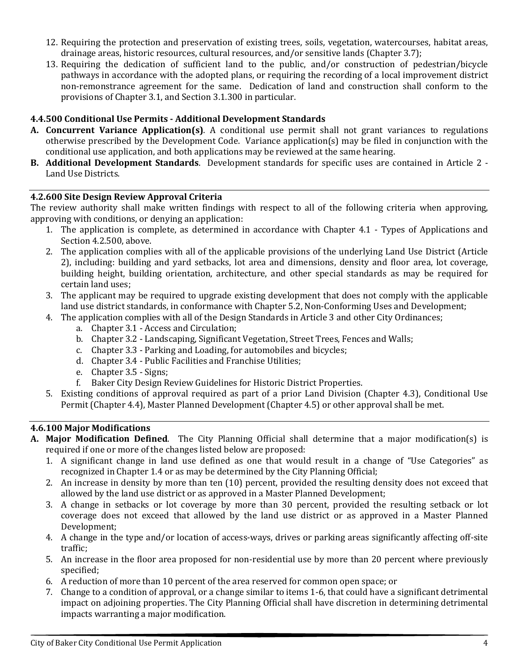- 12. Requiring the protection and preservation of existing trees, soils, vegetation, watercourses, habitat areas, drainage areas, historic resources, cultural resources, and/or sensitive lands (Chapter 3.7);
- 13. Requiring the dedication of sufficient land to the public, and/or construction of pedestrian/bicycle pathways in accordance with the adopted plans, or requiring the recording of a local improvement district non-remonstrance agreement for the same. Dedication of land and construction shall conform to the provisions of Chapter 3.1, and Section 3.1.300 in particular.

## 4.4.500 Conditional Use Permits - Additional Development Standards

- A. Concurrent Variance Application(s). A conditional use permit shall not grant variances to regulations otherwise prescribed by the Development Code. Variance application(s) may be filed in conjunction with the conditional use application, and both applications may be reviewed at the same hearing.
- B. Additional Development Standards. Development standards for specific uses are contained in Article 2 Land Use Districts.

### 4.2.600 Site Design Review Approval Criteria

The review authority shall make written findings with respect to all of the following criteria when approving, approving with conditions, or denying an application:

- 1. The application is complete, as determined in accordance with Chapter 4.1 Types of Applications and Section 4.2.500, above.
- 2. The application complies with all of the applicable provisions of the underlying Land Use District (Article 2), including: building and yard setbacks, lot area and dimensions, density and floor area, lot coverage, building height, building orientation, architecture, and other special standards as may be required for certain land uses;
- 3. The applicant may be required to upgrade existing development that does not comply with the applicable land use district standards, in conformance with Chapter 5.2, Non-Conforming Uses and Development;
- 4. The application complies with all of the Design Standards in Article 3 and other City Ordinances;
	- a. Chapter 3.1 Access and Circulation;
	- b. Chapter 3.2 Landscaping, Significant Vegetation, Street Trees, Fences and Walls;
	- c. Chapter 3.3 Parking and Loading, for automobiles and bicycles;
	- d. Chapter 3.4 Public Facilities and Franchise Utilities;
	- e. Chapter 3.5 Signs;
	- f. Baker City Design Review Guidelines for Historic District Properties.
- 5. Existing conditions of approval required as part of a prior Land Division (Chapter 4.3), Conditional Use Permit (Chapter 4.4), Master Planned Development (Chapter 4.5) or other approval shall be met.

### 4.6.100 Major Modifications

- A. Major Modification Defined. The City Planning Official shall determine that a major modification(s) is required if one or more of the changes listed below are proposed:
	- 1. A significant change in land use defined as one that would result in a change of "Use Categories" as recognized in Chapter 1.4 or as may be determined by the City Planning Official;
	- 2. An increase in density by more than ten (10) percent, provided the resulting density does not exceed that allowed by the land use district or as approved in a Master Planned Development;
	- 3. A change in setbacks or lot coverage by more than 30 percent, provided the resulting setback or lot coverage does not exceed that allowed by the land use district or as approved in a Master Planned Development;
	- 4. A change in the type and/or location of access-ways, drives or parking areas significantly affecting off-site traffic;
	- 5. An increase in the floor area proposed for non-residential use by more than 20 percent where previously specified;
	- 6. A reduction of more than 10 percent of the area reserved for common open space; or
	- 7. Change to a condition of approval, or a change similar to items 1-6, that could have a significant detrimental impact on adjoining properties. The City Planning Official shall have discretion in determining detrimental impacts warranting a major modification.